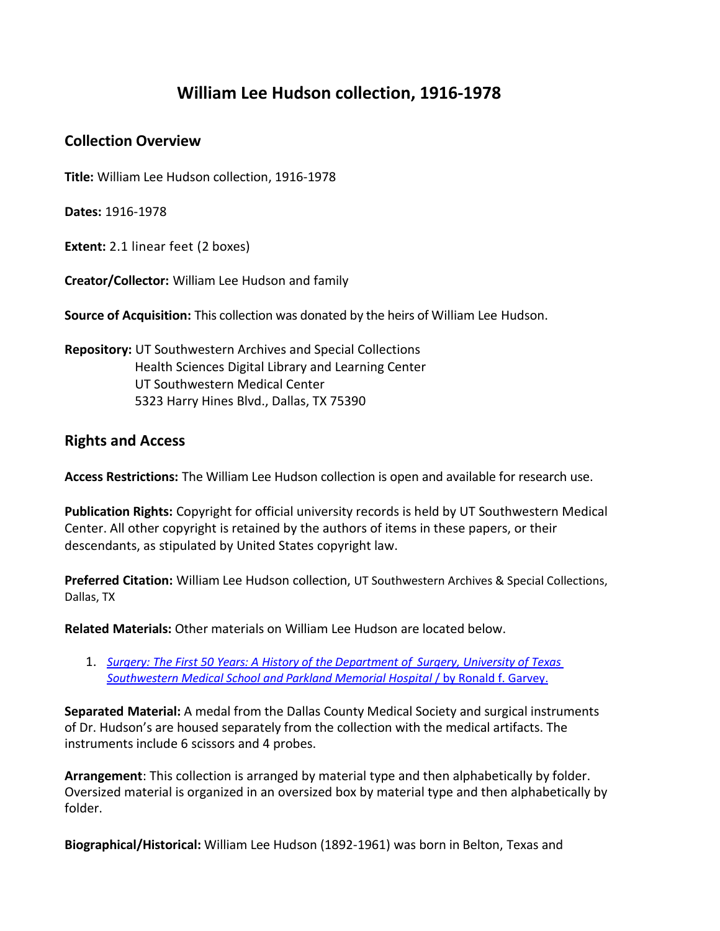# **William Lee Hudson collection, 1916-1978**

#### **Collection Overview**

**Title:** William Lee Hudson collection, 1916-1978

**Dates:** 1916-1978

**Extent:** 2.1 linear feet (2 boxes)

**Creator/Collector:** William Lee Hudson and family

**Source of Acquisition:** This collection was donated by the heirs of William Lee Hudson.

**Repository:** UT Southwestern Archives and Special Collections Health Sciences Digital Library and Learning Center UT Southwestern Medical Center 5323 Harry Hines Blvd., Dallas, TX 75390

### **Rights and Access**

**Access Restrictions:** The William Lee Hudson collection is open and available for research use.

**Publication Rights:** Copyright for official university records is held by UT Southwestern Medical Center. All other copyright is retained by the authors of items in these papers, or their descendants, as stipulated by United States copyright law.

**Preferred Citation:** William Lee Hudson collection, UT Southwestern Archives & Special Collections, Dallas, TX

**Related Materials:** Other materials on William Lee Hudson are located below.

1. *Surgery: The First 50 Years: A History of the [Department](https://utswm.bywatersolutions.com/cgi-bin/koha/opac-detail.pl?biblionumber=65026) of Surgery, University of Texas Southwestern Medical School and Parkland Memorial Hospital* [/ by Ronald f. Garvey.](https://utswm.bywatersolutions.com/cgi-bin/koha/opac-detail.pl?biblionumber=65026)

**Separated Material:** A medal from the Dallas County Medical Society and surgical instruments of Dr. Hudson's are housed separately from the collection with the medical artifacts. The instruments include 6 scissors and 4 probes.

**Arrangement**: This collection is arranged by material type and then alphabetically by folder. Oversized material is organized in an oversized box by material type and then alphabetically by folder.

**Biographical/Historical:** William Lee Hudson (1892-1961) was born in Belton, Texas and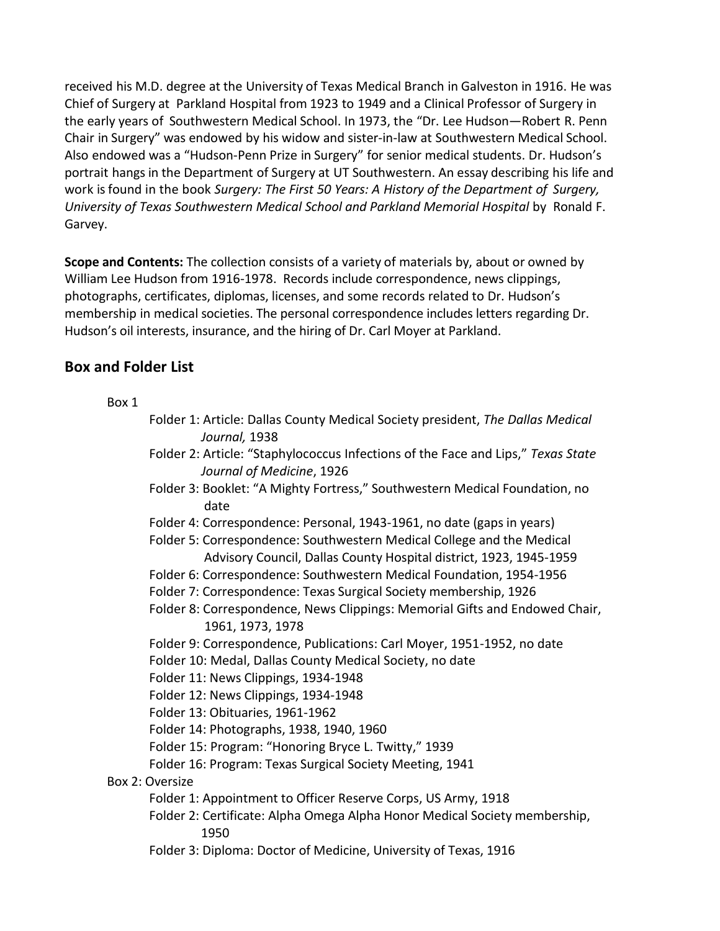received his M.D. degree at the University of Texas Medical Branch in Galveston in 1916. He was Chief of Surgery at Parkland Hospital from 1923 to 1949 and a Clinical Professor of Surgery in the early years of Southwestern Medical School. In 1973, the "Dr. Lee Hudson—Robert R. Penn Chair in Surgery" was endowed by his widow and sister-in-law at Southwestern Medical School. Also endowed was a "Hudson-Penn Prize in Surgery" for senior medical students. Dr. Hudson's portrait hangs in the Department of Surgery at UT Southwestern. An essay describing his life and work is found in the book *Surgery: The First 50 Years: A History of the Department of Surgery, University of Texas Southwestern Medical School and Parkland Memorial Hospital* by Ronald F. Garvey.

**Scope and Contents:** The collection consists of a variety of materials by, about or owned by William Lee Hudson from 1916-1978. Records include correspondence, news clippings, photographs, certificates, diplomas, licenses, and some records related to Dr. Hudson's membership in medical societies. The personal correspondence includes letters regarding Dr. Hudson's oil interests, insurance, and the hiring of Dr. Carl Moyer at Parkland.

## **Box and Folder List**

#### Box 1

|                 | Folder 1: Article: Dallas County Medical Society president, The Dallas Medical<br>Journal, 1938                                              |
|-----------------|----------------------------------------------------------------------------------------------------------------------------------------------|
|                 | Folder 2: Article: "Staphylococcus Infections of the Face and Lips," Texas State<br>Journal of Medicine, 1926                                |
|                 | Folder 3: Booklet: "A Mighty Fortress," Southwestern Medical Foundation, no<br>date                                                          |
|                 | Folder 4: Correspondence: Personal, 1943-1961, no date (gaps in years)                                                                       |
|                 | Folder 5: Correspondence: Southwestern Medical College and the Medical<br>Advisory Council, Dallas County Hospital district, 1923, 1945-1959 |
|                 | Folder 6: Correspondence: Southwestern Medical Foundation, 1954-1956                                                                         |
|                 | Folder 7: Correspondence: Texas Surgical Society membership, 1926                                                                            |
|                 | Folder 8: Correspondence, News Clippings: Memorial Gifts and Endowed Chair,<br>1961, 1973, 1978                                              |
|                 | Folder 9: Correspondence, Publications: Carl Moyer, 1951-1952, no date                                                                       |
|                 | Folder 10: Medal, Dallas County Medical Society, no date                                                                                     |
|                 | Folder 11: News Clippings, 1934-1948                                                                                                         |
|                 | Folder 12: News Clippings, 1934-1948                                                                                                         |
|                 | Folder 13: Obituaries, 1961-1962                                                                                                             |
|                 | Folder 14: Photographs, 1938, 1940, 1960                                                                                                     |
|                 | Folder 15: Program: "Honoring Bryce L. Twitty," 1939                                                                                         |
|                 | Folder 16: Program: Texas Surgical Society Meeting, 1941                                                                                     |
| Box 2: Oversize |                                                                                                                                              |
|                 | Folder 1: Appointment to Officer Reserve Corps, US Army, 1918                                                                                |
|                 | Folder 2: Certificate: Alpha Omega Alpha Honor Medical Society membership,<br>1950                                                           |
|                 | Folder 3: Diploma: Doctor of Medicine, University of Texas, 1916                                                                             |